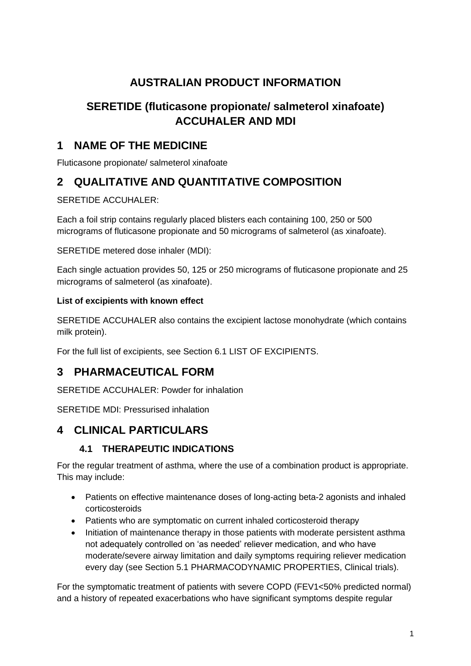# **AUSTRALIAN PRODUCT INFORMATION**

# **SERETIDE (fluticasone propionate/ salmeterol xinafoate) ACCUHALER AND MDI**

# **1 NAME OF THE MEDICINE**

Fluticasone propionate/ salmeterol xinafoate

# **2 QUALITATIVE AND QUANTITATIVE COMPOSITION**

SERETIDE ACCUHALER:

Each a foil strip contains regularly placed blisters each containing 100, 250 or 500 micrograms of fluticasone propionate and 50 micrograms of salmeterol (as xinafoate).

SERETIDE metered dose inhaler (MDI):

Each single actuation provides 50, 125 or 250 micrograms of fluticasone propionate and 25 micrograms of salmeterol (as xinafoate).

# **List of excipients with known effect**

SERETIDE ACCUHALER also contains the excipient lactose monohydrate (which contains milk protein).

For the full list of excipients, see Section 6.1 LIST OF EXCIPIENTS.

# **3 PHARMACEUTICAL FORM**

SERETIDE ACCUHALER: Powder for inhalation

SERETIDE MDI: Pressurised inhalation

# **4 CLINICAL PARTICULARS**

# **4.1 THERAPEUTIC INDICATIONS**

For the regular treatment of asthma, where the use of a combination product is appropriate. This may include:

- Patients on effective maintenance doses of long-acting beta-2 agonists and inhaled corticosteroids
- Patients who are symptomatic on current inhaled corticosteroid therapy
- Initiation of maintenance therapy in those patients with moderate persistent asthma not adequately controlled on 'as needed' reliever medication, and who have moderate/severe airway limitation and daily symptoms requiring reliever medication every day (see Section 5.1 PHARMACODYNAMIC PROPERTIES, Clinical trials).

For the symptomatic treatment of patients with severe COPD (FEV1<50% predicted normal) and a history of repeated exacerbations who have significant symptoms despite regular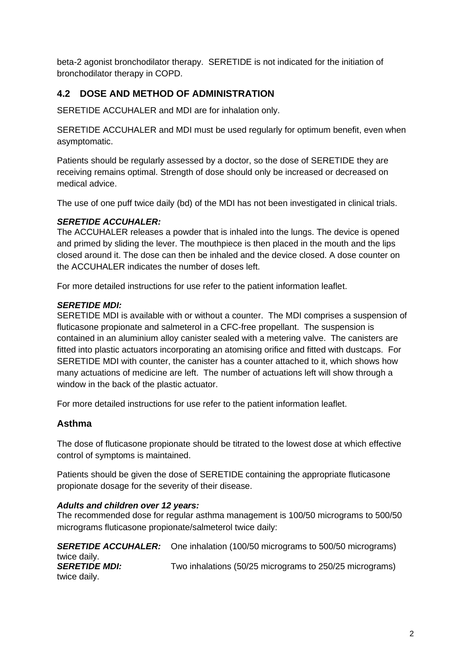beta-2 agonist bronchodilator therapy. SERETIDE is not indicated for the initiation of bronchodilator therapy in COPD.

# **4.2 DOSE AND METHOD OF ADMINISTRATION**

SERETIDE ACCUHALER and MDI are for inhalation only.

SERETIDE ACCUHALER and MDI must be used regularly for optimum benefit, even when asymptomatic.

Patients should be regularly assessed by a doctor, so the dose of SERETIDE they are receiving remains optimal. Strength of dose should only be increased or decreased on medical advice.

The use of one puff twice daily (bd) of the MDI has not been investigated in clinical trials.

#### *SERETIDE ACCUHALER:*

The ACCUHALER releases a powder that is inhaled into the lungs. The device is opened and primed by sliding the lever. The mouthpiece is then placed in the mouth and the lips closed around it. The dose can then be inhaled and the device closed. A dose counter on the ACCUHALER indicates the number of doses left.

For more detailed instructions for use refer to the patient information leaflet.

#### *SERETIDE MDI:*

SERETIDE MDI is available with or without a counter. The MDI comprises a suspension of fluticasone propionate and salmeterol in a CFC-free propellant. The suspension is contained in an aluminium alloy canister sealed with a metering valve. The canisters are fitted into plastic actuators incorporating an atomising orifice and fitted with dustcaps. For SERETIDE MDI with counter, the canister has a counter attached to it, which shows how many actuations of medicine are left. The number of actuations left will show through a window in the back of the plastic actuator.

For more detailed instructions for use refer to the patient information leaflet.

### **Asthma**

The dose of fluticasone propionate should be titrated to the lowest dose at which effective control of symptoms is maintained.

Patients should be given the dose of SERETIDE containing the appropriate fluticasone propionate dosage for the severity of their disease.

#### *Adults and children over 12 years:*

The recommended dose for regular asthma management is 100/50 micrograms to 500/50 micrograms fluticasone propionate/salmeterol twice daily:

*SERETIDE ACCUHALER:* One inhalation (100/50 micrograms to 500/50 micrograms) twice daily. **SERETIDE MDI:** Two inhalations (50/25 micrograms to 250/25 micrograms) twice daily.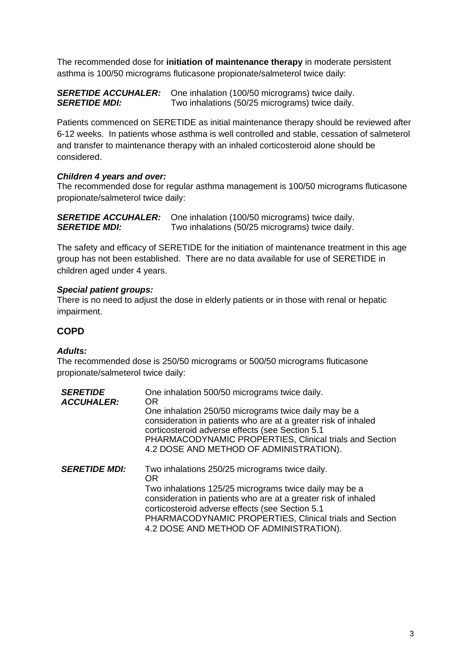The recommended dose for **initiation of maintenance therapy** in moderate persistent asthma is 100/50 micrograms fluticasone propionate/salmeterol twice daily:

#### *SERETIDE ACCUHALER:* One inhalation (100/50 micrograms) twice daily. **SERETIDE MDI:** Two inhalations (50/25 micrograms) twice daily.

Patients commenced on SERETIDE as initial maintenance therapy should be reviewed after 6-12 weeks. In patients whose asthma is well controlled and stable, cessation of salmeterol and transfer to maintenance therapy with an inhaled corticosteroid alone should be considered.

### *Children 4 years and over:*

The recommended dose for regular asthma management is 100/50 micrograms fluticasone propionate/salmeterol twice daily:

*SERETIDE ACCUHALER:* One inhalation (100/50 micrograms) twice daily. **SERETIDE MDI:** Two inhalations (50/25 micrograms) twice daily.

The safety and efficacy of SERETIDE for the initiation of maintenance treatment in this age group has not been established. There are no data available for use of SERETIDE in children aged under 4 years.

#### *Special patient groups:*

There is no need to adjust the dose in elderly patients or in those with renal or hepatic impairment.

### **COPD**

#### *Adults:*

The recommended dose is 250/50 micrograms or 500/50 micrograms fluticasone propionate/salmeterol twice daily:

| <b>SERETIDE</b><br><b>ACCUHALER:</b> | One inhalation 500/50 micrograms twice daily.<br>OR.<br>One inhalation 250/50 micrograms twice daily may be a<br>consideration in patients who are at a greater risk of inhaled<br>corticosteroid adverse effects (see Section 5.1<br>PHARMACODYNAMIC PROPERTIES, Clinical trials and Section<br>4.2 DOSE AND METHOD OF ADMINISTRATION).         |
|--------------------------------------|--------------------------------------------------------------------------------------------------------------------------------------------------------------------------------------------------------------------------------------------------------------------------------------------------------------------------------------------------|
| <b>SERETIDE MDI:</b>                 | Two inhalations 250/25 micrograms twice daily.<br><b>OR</b><br>Two inhalations 125/25 micrograms twice daily may be a<br>consideration in patients who are at a greater risk of inhaled<br>corticosteroid adverse effects (see Section 5.1<br>PHARMACODYNAMIC PROPERTIES, Clinical trials and Section<br>4.2 DOSE AND METHOD OF ADMINISTRATION). |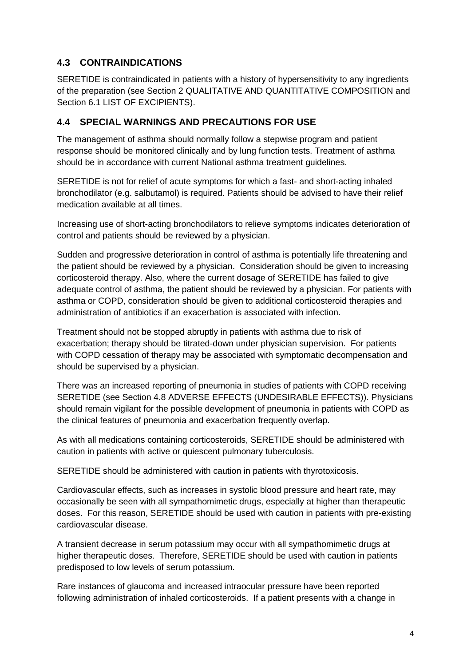# **4.3 CONTRAINDICATIONS**

SERETIDE is contraindicated in patients with a history of hypersensitivity to any ingredients of the preparation (see Section 2 QUALITATIVE AND QUANTITATIVE COMPOSITION and Section 6.1 LIST OF EXCIPIENTS).

### **4.4 SPECIAL WARNINGS AND PRECAUTIONS FOR USE**

The management of asthma should normally follow a stepwise program and patient response should be monitored clinically and by lung function tests. Treatment of asthma should be in accordance with current National asthma treatment guidelines.

SERETIDE is not for relief of acute symptoms for which a fast- and short-acting inhaled bronchodilator (e.g. salbutamol) is required. Patients should be advised to have their relief medication available at all times.

Increasing use of short-acting bronchodilators to relieve symptoms indicates deterioration of control and patients should be reviewed by a physician.

Sudden and progressive deterioration in control of asthma is potentially life threatening and the patient should be reviewed by a physician. Consideration should be given to increasing corticosteroid therapy. Also, where the current dosage of SERETIDE has failed to give adequate control of asthma, the patient should be reviewed by a physician. For patients with asthma or COPD, consideration should be given to additional corticosteroid therapies and administration of antibiotics if an exacerbation is associated with infection.

Treatment should not be stopped abruptly in patients with asthma due to risk of exacerbation; therapy should be titrated-down under physician supervision. For patients with COPD cessation of therapy may be associated with symptomatic decompensation and should be supervised by a physician.

There was an increased reporting of pneumonia in studies of patients with COPD receiving SERETIDE (see Section 4.8 ADVERSE EFFECTS (UNDESIRABLE EFFECTS)). Physicians should remain vigilant for the possible development of pneumonia in patients with COPD as the clinical features of pneumonia and exacerbation frequently overlap.

As with all medications containing corticosteroids, SERETIDE should be administered with caution in patients with active or quiescent pulmonary tuberculosis.

SERETIDE should be administered with caution in patients with thyrotoxicosis.

Cardiovascular effects, such as increases in systolic blood pressure and heart rate, may occasionally be seen with all sympathomimetic drugs, especially at higher than therapeutic doses. For this reason, SERETIDE should be used with caution in patients with pre-existing cardiovascular disease.

A transient decrease in serum potassium may occur with all sympathomimetic drugs at higher therapeutic doses. Therefore, SERETIDE should be used with caution in patients predisposed to low levels of serum potassium.

Rare instances of glaucoma and increased intraocular pressure have been reported following administration of inhaled corticosteroids. If a patient presents with a change in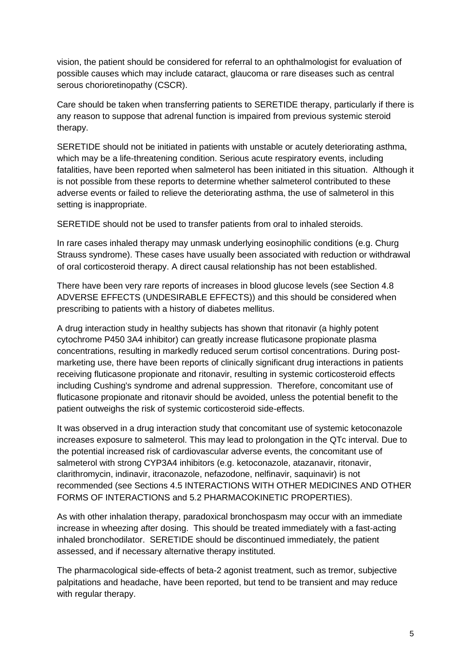vision, the patient should be considered for referral to an ophthalmologist for evaluation of possible causes which may include cataract, glaucoma or rare diseases such as central serous chorioretinopathy (CSCR).

Care should be taken when transferring patients to SERETIDE therapy, particularly if there is any reason to suppose that adrenal function is impaired from previous systemic steroid therapy.

SERETIDE should not be initiated in patients with unstable or acutely deteriorating asthma, which may be a life-threatening condition. Serious acute respiratory events, including fatalities, have been reported when salmeterol has been initiated in this situation. Although it is not possible from these reports to determine whether salmeterol contributed to these adverse events or failed to relieve the deteriorating asthma, the use of salmeterol in this setting is inappropriate.

SERETIDE should not be used to transfer patients from oral to inhaled steroids.

In rare cases inhaled therapy may unmask underlying eosinophilic conditions (e.g. Churg Strauss syndrome). These cases have usually been associated with reduction or withdrawal of oral corticosteroid therapy. A direct causal relationship has not been established.

There have been very rare reports of increases in blood glucose levels (see Section 4.8 ADVERSE EFFECTS (UNDESIRABLE EFFECTS)) and this should be considered when prescribing to patients with a history of diabetes mellitus.

A drug interaction study in healthy subjects has shown that ritonavir (a highly potent cytochrome P450 3A4 inhibitor) can greatly increase fluticasone propionate plasma concentrations, resulting in markedly reduced serum cortisol concentrations. During postmarketing use, there have been reports of clinically significant drug interactions in patients receiving fluticasone propionate and ritonavir, resulting in systemic corticosteroid effects including Cushing's syndrome and adrenal suppression. Therefore, concomitant use of fluticasone propionate and ritonavir should be avoided, unless the potential benefit to the patient outweighs the risk of systemic corticosteroid side-effects.

It was observed in a drug interaction study that concomitant use of systemic ketoconazole increases exposure to salmeterol. This may lead to prolongation in the QTc interval. Due to the potential increased risk of cardiovascular adverse events, the concomitant use of salmeterol with strong CYP3A4 inhibitors (e.g. ketoconazole, atazanavir, ritonavir, clarithromycin, indinavir, itraconazole, nefazodone, nelfinavir, saquinavir) is not recommended (see Sections 4.5 INTERACTIONS WITH OTHER MEDICINES AND OTHER FORMS OF INTERACTIONS and 5.2 PHARMACOKINETIC PROPERTIES).

As with other inhalation therapy, paradoxical bronchospasm may occur with an immediate increase in wheezing after dosing. This should be treated immediately with a fast-acting inhaled bronchodilator. SERETIDE should be discontinued immediately, the patient assessed, and if necessary alternative therapy instituted.

The pharmacological side-effects of beta-2 agonist treatment, such as tremor, subjective palpitations and headache, have been reported, but tend to be transient and may reduce with regular therapy.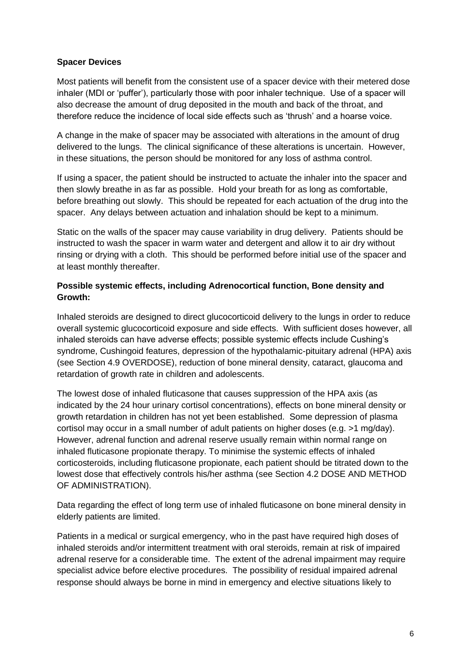#### **Spacer Devices**

Most patients will benefit from the consistent use of a spacer device with their metered dose inhaler (MDI or 'puffer'), particularly those with poor inhaler technique. Use of a spacer will also decrease the amount of drug deposited in the mouth and back of the throat, and therefore reduce the incidence of local side effects such as 'thrush' and a hoarse voice.

A change in the make of spacer may be associated with alterations in the amount of drug delivered to the lungs. The clinical significance of these alterations is uncertain. However, in these situations, the person should be monitored for any loss of asthma control.

If using a spacer, the patient should be instructed to actuate the inhaler into the spacer and then slowly breathe in as far as possible. Hold your breath for as long as comfortable, before breathing out slowly. This should be repeated for each actuation of the drug into the spacer. Any delays between actuation and inhalation should be kept to a minimum.

Static on the walls of the spacer may cause variability in drug delivery. Patients should be instructed to wash the spacer in warm water and detergent and allow it to air dry without rinsing or drying with a cloth. This should be performed before initial use of the spacer and at least monthly thereafter.

### **Possible systemic effects, including Adrenocortical function, Bone density and Growth:**

Inhaled steroids are designed to direct glucocorticoid delivery to the lungs in order to reduce overall systemic glucocorticoid exposure and side effects. With sufficient doses however, all inhaled steroids can have adverse effects; possible systemic effects include Cushing's syndrome, Cushingoid features, depression of the hypothalamic-pituitary adrenal (HPA) axis (see Section 4.9 OVERDOSE), reduction of bone mineral density, cataract, glaucoma and retardation of growth rate in children and adolescents.

The lowest dose of inhaled fluticasone that causes suppression of the HPA axis (as indicated by the 24 hour urinary cortisol concentrations), effects on bone mineral density or growth retardation in children has not yet been established. Some depression of plasma cortisol may occur in a small number of adult patients on higher doses (e.g. >1 mg/day). However, adrenal function and adrenal reserve usually remain within normal range on inhaled fluticasone propionate therapy. To minimise the systemic effects of inhaled corticosteroids, including fluticasone propionate, each patient should be titrated down to the lowest dose that effectively controls his/her asthma (see Section 4.2 DOSE AND METHOD OF ADMINISTRATION).

Data regarding the effect of long term use of inhaled fluticasone on bone mineral density in elderly patients are limited.

Patients in a medical or surgical emergency, who in the past have required high doses of inhaled steroids and/or intermittent treatment with oral steroids, remain at risk of impaired adrenal reserve for a considerable time. The extent of the adrenal impairment may require specialist advice before elective procedures. The possibility of residual impaired adrenal response should always be borne in mind in emergency and elective situations likely to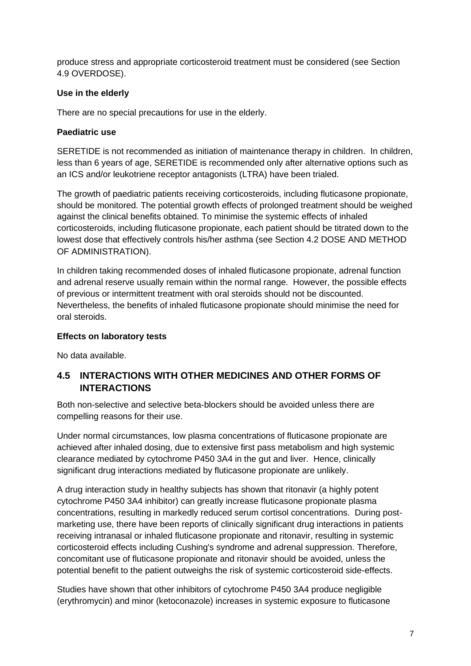produce stress and appropriate corticosteroid treatment must be considered (see Section 4.9 OVERDOSE).

### **Use in the elderly**

There are no special precautions for use in the elderly.

### **Paediatric use**

SERETIDE is not recommended as initiation of maintenance therapy in children. In children, less than 6 years of age, SERETIDE is recommended only after alternative options such as an ICS and/or leukotriene receptor antagonists (LTRA) have been trialed.

The growth of paediatric patients receiving corticosteroids, including fluticasone propionate, should be monitored. The potential growth effects of prolonged treatment should be weighed against the clinical benefits obtained. To minimise the systemic effects of inhaled corticosteroids, including fluticasone propionate, each patient should be titrated down to the lowest dose that effectively controls his/her asthma (see Section 4.2 DOSE AND METHOD OF ADMINISTRATION).

In children taking recommended doses of inhaled fluticasone propionate, adrenal function and adrenal reserve usually remain within the normal range. However, the possible effects of previous or intermittent treatment with oral steroids should not be discounted. Nevertheless, the benefits of inhaled fluticasone propionate should minimise the need for oral steroids.

### **Effects on laboratory tests**

No data available.

## **4.5 INTERACTIONS WITH OTHER MEDICINES AND OTHER FORMS OF INTERACTIONS**

Both non-selective and selective beta-blockers should be avoided unless there are compelling reasons for their use.

Under normal circumstances, low plasma concentrations of fluticasone propionate are achieved after inhaled dosing, due to extensive first pass metabolism and high systemic clearance mediated by cytochrome P450 3A4 in the gut and liver. Hence, clinically significant drug interactions mediated by fluticasone propionate are unlikely.

A drug interaction study in healthy subjects has shown that ritonavir (a highly potent cytochrome P450 3A4 inhibitor) can greatly increase fluticasone propionate plasma concentrations, resulting in markedly reduced serum cortisol concentrations. During postmarketing use, there have been reports of clinically significant drug interactions in patients receiving intranasal or inhaled fluticasone propionate and ritonavir, resulting in systemic corticosteroid effects including Cushing's syndrome and adrenal suppression. Therefore, concomitant use of fluticasone propionate and ritonavir should be avoided, unless the potential benefit to the patient outweighs the risk of systemic corticosteroid side-effects.

Studies have shown that other inhibitors of cytochrome P450 3A4 produce negligible (erythromycin) and minor (ketoconazole) increases in systemic exposure to fluticasone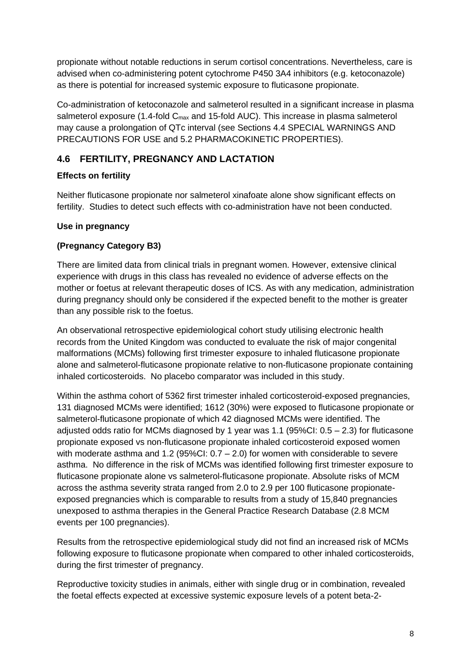propionate without notable reductions in serum cortisol concentrations. Nevertheless, care is advised when co-administering potent cytochrome P450 3A4 inhibitors (e.g. ketoconazole) as there is potential for increased systemic exposure to fluticasone propionate.

Co-administration of ketoconazole and salmeterol resulted in a significant increase in plasma salmeterol exposure (1.4-fold  $C_{\text{max}}$  and 15-fold AUC). This increase in plasma salmeterol may cause a prolongation of QTc interval (see Sections 4.4 SPECIAL WARNINGS AND PRECAUTIONS FOR USE and 5.2 PHARMACOKINETIC PROPERTIES).

# **4.6 FERTILITY, PREGNANCY AND LACTATION**

## **Effects on fertility**

Neither fluticasone propionate nor salmeterol xinafoate alone show significant effects on fertility. Studies to detect such effects with co-administration have not been conducted.

## **Use in pregnancy**

## **(Pregnancy Category B3)**

There are limited data from clinical trials in pregnant women. However, extensive clinical experience with drugs in this class has revealed no evidence of adverse effects on the mother or foetus at relevant therapeutic doses of ICS. As with any medication, administration during pregnancy should only be considered if the expected benefit to the mother is greater than any possible risk to the foetus.

An observational retrospective epidemiological cohort study utilising electronic health records from the United Kingdom was conducted to evaluate the risk of major congenital malformations (MCMs) following first trimester exposure to inhaled fluticasone propionate alone and salmeterol-fluticasone propionate relative to non-fluticasone propionate containing inhaled corticosteroids. No placebo comparator was included in this study.

Within the asthma cohort of 5362 first trimester inhaled corticosteroid-exposed pregnancies, 131 diagnosed MCMs were identified; 1612 (30%) were exposed to fluticasone propionate or salmeterol-fluticasone propionate of which 42 diagnosed MCMs were identified. The adjusted odds ratio for MCMs diagnosed by 1 year was  $1.1$  (95%CI:  $0.5 - 2.3$ ) for fluticasone propionate exposed vs non-fluticasone propionate inhaled corticosteroid exposed women with moderate asthma and 1.2 (95%CI:  $0.7 - 2.0$ ) for women with considerable to severe asthma. No difference in the risk of MCMs was identified following first trimester exposure to fluticasone propionate alone vs salmeterol-fluticasone propionate. Absolute risks of MCM across the asthma severity strata ranged from 2.0 to 2.9 per 100 fluticasone propionateexposed pregnancies which is comparable to results from a study of 15,840 pregnancies unexposed to asthma therapies in the General Practice Research Database (2.8 MCM events per 100 pregnancies).

Results from the retrospective epidemiological study did not find an increased risk of MCMs following exposure to fluticasone propionate when compared to other inhaled corticosteroids, during the first trimester of pregnancy.

Reproductive toxicity studies in animals, either with single drug or in combination, revealed the foetal effects expected at excessive systemic exposure levels of a potent beta-2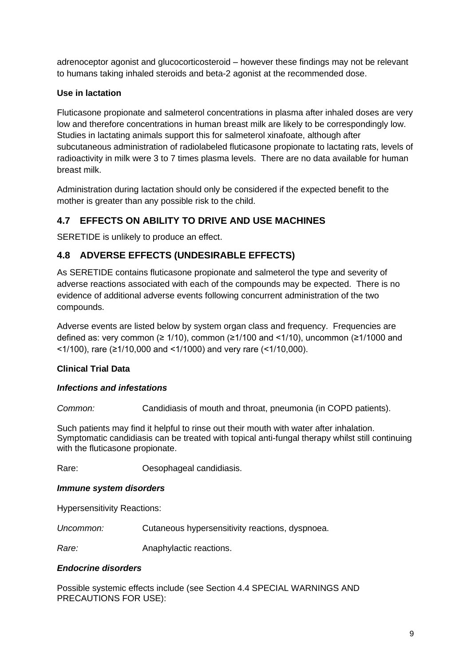adrenoceptor agonist and glucocorticosteroid – however these findings may not be relevant to humans taking inhaled steroids and beta-2 agonist at the recommended dose.

### **Use in lactation**

Fluticasone propionate and salmeterol concentrations in plasma after inhaled doses are very low and therefore concentrations in human breast milk are likely to be correspondingly low. Studies in lactating animals support this for salmeterol xinafoate, although after subcutaneous administration of radiolabeled fluticasone propionate to lactating rats, levels of radioactivity in milk were 3 to 7 times plasma levels. There are no data available for human breast milk.

Administration during lactation should only be considered if the expected benefit to the mother is greater than any possible risk to the child.

# **4.7 EFFECTS ON ABILITY TO DRIVE AND USE MACHINES**

SERETIDE is unlikely to produce an effect.

# **4.8 ADVERSE EFFECTS (UNDESIRABLE EFFECTS)**

As SERETIDE contains fluticasone propionate and salmeterol the type and severity of adverse reactions associated with each of the compounds may be expected. There is no evidence of additional adverse events following concurrent administration of the two compounds.

Adverse events are listed below by system organ class and frequency. Frequencies are defined as: very common ( $\geq 1/10$ ), common ( $\geq 1/100$  and  $\leq 1/10$ ), uncommon ( $\geq 1/1000$  and <1/100), rare (≥1/10,000 and <1/1000) and very rare (<1/10,000).

### **Clinical Trial Data**

### *Infections and infestations*

*Common:* Candidiasis of mouth and throat, pneumonia (in COPD patients).

Such patients may find it helpful to rinse out their mouth with water after inhalation. Symptomatic candidiasis can be treated with topical anti-fungal therapy whilst still continuing with the fluticasone propionate.

Rare: Cesophageal candidiasis.

#### *Immune system disorders*

Hypersensitivity Reactions:

*Uncommon:* Cutaneous hypersensitivity reactions, dyspnoea.

**Rare:** Anaphylactic reactions.

#### *Endocrine disorders*

Possible systemic effects include (see Section 4.4 SPECIAL WARNINGS AND PRECAUTIONS FOR USE):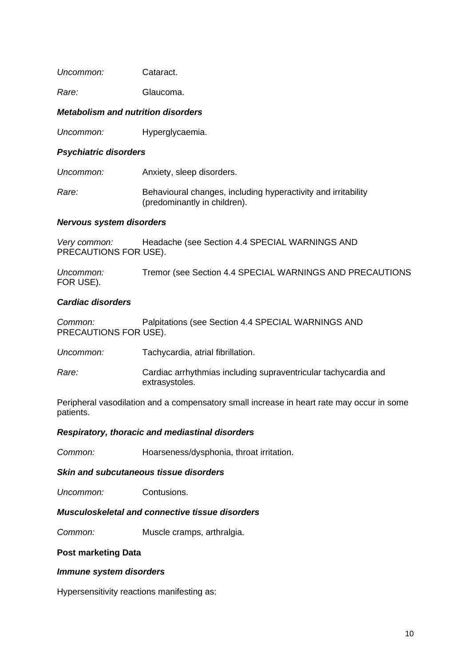| Uncommon: | Cataract. |
|-----------|-----------|
|           |           |

*Rare:* Glaucoma.

#### *Metabolism and nutrition disorders*

*Uncommon:* Hyperglycaemia.

#### *Psychiatric disorders*

| Uncommon: | Anxiety, sleep disorders.                                                                     |
|-----------|-----------------------------------------------------------------------------------------------|
| Rare:     | Behavioural changes, including hyperactivity and irritability<br>(predominantly in children). |

#### *Nervous system disorders*

*Very common:* Headache (see Section 4.4 SPECIAL WARNINGS AND PRECAUTIONS FOR USE).

*Uncommon:* Tremor (see Section 4.4 SPECIAL WARNINGS AND PRECAUTIONS FOR USE).

#### *Cardiac disorders*

*Common:* Palpitations (see Section 4.4 SPECIAL WARNINGS AND PRECAUTIONS FOR USE).

- *Uncommon:* Tachycardia, atrial fibrillation.
- *Rare:* Cardiac arrhythmias including supraventricular tachycardia and extrasystoles.

Peripheral vasodilation and a compensatory small increase in heart rate may occur in some patients.

#### *Respiratory, thoracic and mediastinal disorders*

*Common:* Hoarseness/dysphonia, throat irritation.

#### *Skin and subcutaneous tissue disorders*

*Uncommon:* Contusions.

#### *Musculoskeletal and connective tissue disorders*

**Common:** Muscle cramps, arthralgia.

#### **Post marketing Data**

#### *Immune system disorders*

Hypersensitivity reactions manifesting as: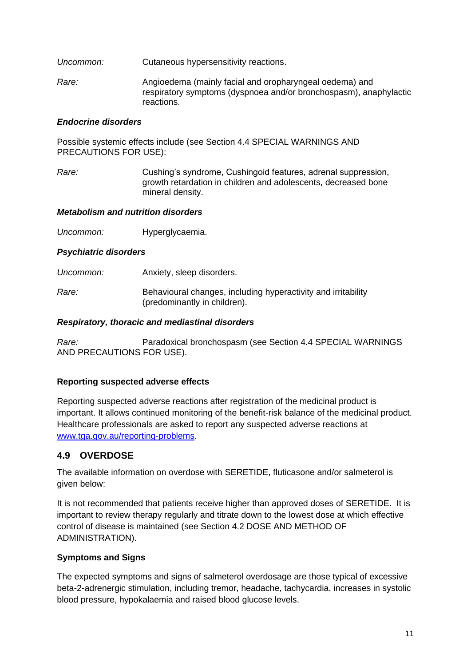- *Uncommon:* Cutaneous hypersensitivity reactions.
- *Rare:* Angioedema (mainly facial and oropharyngeal oedema) and respiratory symptoms (dyspnoea and/or bronchospasm), anaphylactic reactions.

#### *Endocrine disorders*

Possible systemic effects include (see Section 4.4 SPECIAL WARNINGS AND PRECAUTIONS FOR USE):

*Rare:* Cushing's syndrome, Cushingoid features, adrenal suppression, growth retardation in children and adolescents, decreased bone mineral density.

#### *Metabolism and nutrition disorders*

*Uncommon:* Hyperglycaemia.

#### *Psychiatric disorders*

- *Uncommon:* Anxiety, sleep disorders.
- *Rare:* Behavioural changes, including hyperactivity and irritability (predominantly in children).

#### *Respiratory, thoracic and mediastinal disorders*

*Rare:* Paradoxical bronchospasm (see Section 4.4 SPECIAL WARNINGS AND PRECAUTIONS FOR USE).

### **Reporting suspected adverse effects**

Reporting suspected adverse reactions after registration of the medicinal product is important. It allows continued monitoring of the benefit-risk balance of the medicinal product. Healthcare professionals are asked to report any suspected adverse reactions at [www.tga.gov.au/reporting-problems.](http://www.tga.gov.au/reporting-problems)

## **4.9 OVERDOSE**

The available information on overdose with SERETIDE, fluticasone and/or salmeterol is given below:

It is not recommended that patients receive higher than approved doses of SERETIDE. It is important to review therapy regularly and titrate down to the lowest dose at which effective control of disease is maintained (see Section 4.2 DOSE AND METHOD OF ADMINISTRATION).

### **Symptoms and Signs**

The expected symptoms and signs of salmeterol overdosage are those typical of excessive beta-2-adrenergic stimulation, including tremor, headache, tachycardia, increases in systolic blood pressure, hypokalaemia and raised blood glucose levels.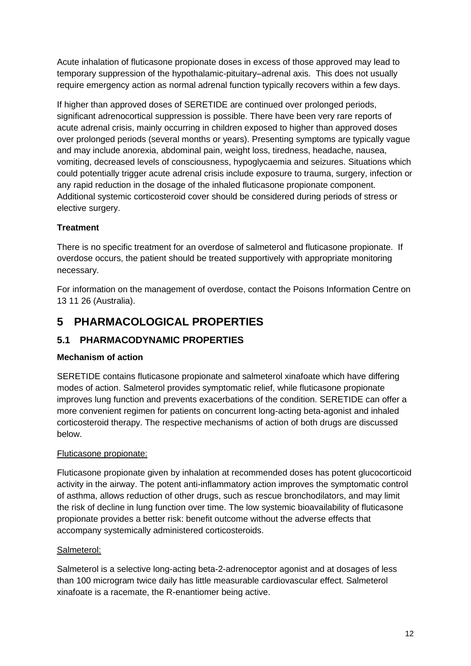Acute inhalation of fluticasone propionate doses in excess of those approved may lead to temporary suppression of the hypothalamic-pituitary–adrenal axis. This does not usually require emergency action as normal adrenal function typically recovers within a few days.

If higher than approved doses of SERETIDE are continued over prolonged periods, significant adrenocortical suppression is possible. There have been very rare reports of acute adrenal crisis, mainly occurring in children exposed to higher than approved doses over prolonged periods (several months or years). Presenting symptoms are typically vague and may include anorexia, abdominal pain, weight loss, tiredness, headache, nausea, vomiting, decreased levels of consciousness, hypoglycaemia and seizures. Situations which could potentially trigger acute adrenal crisis include exposure to trauma, surgery, infection or any rapid reduction in the dosage of the inhaled fluticasone propionate component. Additional systemic corticosteroid cover should be considered during periods of stress or elective surgery.

# **Treatment**

There is no specific treatment for an overdose of salmeterol and fluticasone propionate. If overdose occurs, the patient should be treated supportively with appropriate monitoring necessary.

For information on the management of overdose, contact the Poisons Information Centre on 13 11 26 (Australia).

# **5 PHARMACOLOGICAL PROPERTIES**

# **5.1 PHARMACODYNAMIC PROPERTIES**

## **Mechanism of action**

SERETIDE contains fluticasone propionate and salmeterol xinafoate which have differing modes of action. Salmeterol provides symptomatic relief, while fluticasone propionate improves lung function and prevents exacerbations of the condition. SERETIDE can offer a more convenient regimen for patients on concurrent long-acting beta-agonist and inhaled corticosteroid therapy. The respective mechanisms of action of both drugs are discussed below.

## Fluticasone propionate:

Fluticasone propionate given by inhalation at recommended doses has potent glucocorticoid activity in the airway. The potent anti-inflammatory action improves the symptomatic control of asthma, allows reduction of other drugs, such as rescue bronchodilators, and may limit the risk of decline in lung function over time. The low systemic bioavailability of fluticasone propionate provides a better risk: benefit outcome without the adverse effects that accompany systemically administered corticosteroids.

### Salmeterol:

Salmeterol is a selective long-acting beta-2-adrenoceptor agonist and at dosages of less than 100 microgram twice daily has little measurable cardiovascular effect. Salmeterol xinafoate is a racemate, the R-enantiomer being active.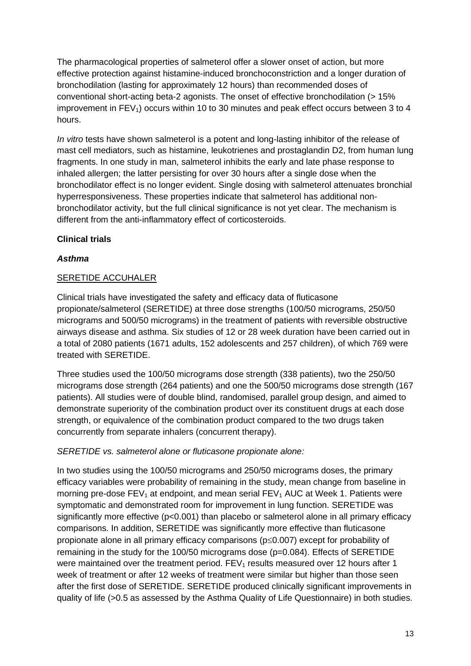The pharmacological properties of salmeterol offer a slower onset of action, but more effective protection against histamine-induced bronchoconstriction and a longer duration of bronchodilation (lasting for approximately 12 hours) than recommended doses of conventional short-acting beta-2 agonists. The onset of effective bronchodilation (> 15% improvement in  $FEV<sub>1</sub>$ ) occurs within 10 to 30 minutes and peak effect occurs between 3 to 4 hours.

*In vitro* tests have shown salmeterol is a potent and long-lasting inhibitor of the release of mast cell mediators, such as histamine, leukotrienes and prostaglandin D2, from human lung fragments. In one study in man, salmeterol inhibits the early and late phase response to inhaled allergen; the latter persisting for over 30 hours after a single dose when the bronchodilator effect is no longer evident. Single dosing with salmeterol attenuates bronchial hyperresponsiveness. These properties indicate that salmeterol has additional nonbronchodilator activity, but the full clinical significance is not yet clear. The mechanism is different from the anti-inflammatory effect of corticosteroids.

### **Clinical trials**

### *Asthma*

### SERETIDE ACCUHALER

Clinical trials have investigated the safety and efficacy data of fluticasone propionate/salmeterol (SERETIDE) at three dose strengths (100/50 micrograms, 250/50 micrograms and 500/50 micrograms) in the treatment of patients with reversible obstructive airways disease and asthma. Six studies of 12 or 28 week duration have been carried out in a total of 2080 patients (1671 adults, 152 adolescents and 257 children), of which 769 were treated with SERETIDE.

Three studies used the 100/50 micrograms dose strength (338 patients), two the 250/50 micrograms dose strength (264 patients) and one the 500/50 micrograms dose strength (167 patients). All studies were of double blind, randomised, parallel group design, and aimed to demonstrate superiority of the combination product over its constituent drugs at each dose strength, or equivalence of the combination product compared to the two drugs taken concurrently from separate inhalers (concurrent therapy).

### *SERETIDE vs. salmeterol alone or fluticasone propionate alone:*

In two studies using the 100/50 micrograms and 250/50 micrograms doses, the primary efficacy variables were probability of remaining in the study, mean change from baseline in morning pre-dose  $FEV_1$  at endpoint, and mean serial  $FEV_1$  AUC at Week 1. Patients were symptomatic and demonstrated room for improvement in lung function. SERETIDE was significantly more effective (p<0.001) than placebo or salmeterol alone in all primary efficacy comparisons. In addition, SERETIDE was significantly more effective than fluticasone propionate alone in all primary efficacy comparisons ( $p \le 0.007$ ) except for probability of remaining in the study for the 100/50 micrograms dose (p=0.084). Effects of SERETIDE were maintained over the treatment period.  $FEV<sub>1</sub>$  results measured over 12 hours after 1 week of treatment or after 12 weeks of treatment were similar but higher than those seen after the first dose of SERETIDE. SERETIDE produced clinically significant improvements in quality of life (>0.5 as assessed by the Asthma Quality of Life Questionnaire) in both studies.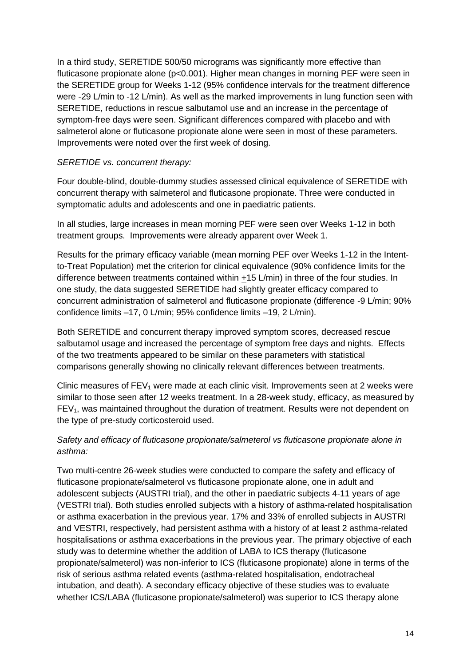In a third study, SERETIDE 500/50 micrograms was significantly more effective than fluticasone propionate alone (p<0.001). Higher mean changes in morning PEF were seen in the SERETIDE group for Weeks 1-12 (95% confidence intervals for the treatment difference were -29 L/min to -12 L/min). As well as the marked improvements in lung function seen with SERETIDE, reductions in rescue salbutamol use and an increase in the percentage of symptom-free days were seen. Significant differences compared with placebo and with salmeterol alone or fluticasone propionate alone were seen in most of these parameters. Improvements were noted over the first week of dosing.

#### *SERETIDE vs. concurrent therapy:*

Four double-blind, double-dummy studies assessed clinical equivalence of SERETIDE with concurrent therapy with salmeterol and fluticasone propionate. Three were conducted in symptomatic adults and adolescents and one in paediatric patients.

In all studies, large increases in mean morning PEF were seen over Weeks 1-12 in both treatment groups. Improvements were already apparent over Week 1.

Results for the primary efficacy variable (mean morning PEF over Weeks 1-12 in the Intentto-Treat Population) met the criterion for clinical equivalence (90% confidence limits for the difference between treatments contained within +15 L/min) in three of the four studies. In one study, the data suggested SERETIDE had slightly greater efficacy compared to concurrent administration of salmeterol and fluticasone propionate (difference -9 L/min; 90% confidence limits –17, 0 L/min; 95% confidence limits –19, 2 L/min).

Both SERETIDE and concurrent therapy improved symptom scores, decreased rescue salbutamol usage and increased the percentage of symptom free days and nights. Effects of the two treatments appeared to be similar on these parameters with statistical comparisons generally showing no clinically relevant differences between treatments.

Clinic measures of  $FEV<sub>1</sub>$  were made at each clinic visit. Improvements seen at 2 weeks were similar to those seen after 12 weeks treatment. In a 28-week study, efficacy, as measured by  $FEV<sub>1</sub>$ , was maintained throughout the duration of treatment. Results were not dependent on the type of pre-study corticosteroid used.

### *Safety and efficacy of fluticasone propionate/salmeterol vs fluticasone propionate alone in asthma:*

Two multi-centre 26-week studies were conducted to compare the safety and efficacy of fluticasone propionate/salmeterol vs fluticasone propionate alone, one in adult and adolescent subjects (AUSTRI trial), and the other in paediatric subjects 4-11 years of age (VESTRI trial). Both studies enrolled subjects with a history of asthma-related hospitalisation or asthma exacerbation in the previous year. 17% and 33% of enrolled subjects in AUSTRI and VESTRI, respectively, had persistent asthma with a history of at least 2 asthma-related hospitalisations or asthma exacerbations in the previous year. The primary objective of each study was to determine whether the addition of LABA to ICS therapy (fluticasone propionate/salmeterol) was non-inferior to ICS (fluticasone propionate) alone in terms of the risk of serious asthma related events (asthma-related hospitalisation, endotracheal intubation, and death). A secondary efficacy objective of these studies was to evaluate whether ICS/LABA (fluticasone propionate/salmeterol) was superior to ICS therapy alone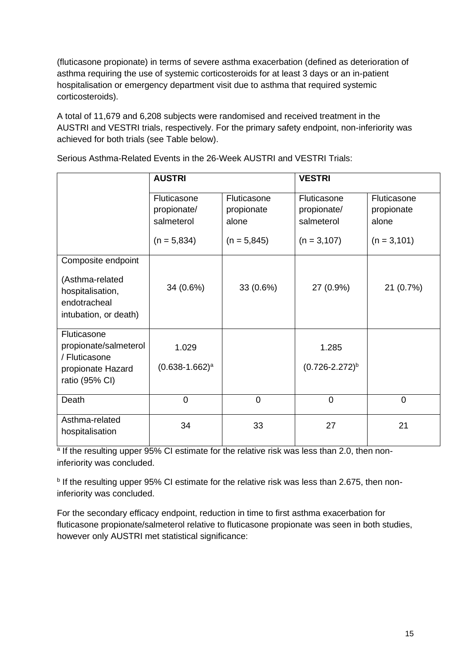(fluticasone propionate) in terms of severe asthma exacerbation (defined as deterioration of asthma requiring the use of systemic corticosteroids for at least 3 days or an in-patient hospitalisation or emergency department visit due to asthma that required systemic corticosteroids).

A total of 11,679 and 6,208 subjects were randomised and received treatment in the AUSTRI and VESTRI trials, respectively. For the primary safety endpoint, non-inferiority was achieved for both trials (see Table below).

|                                                                                                    | <b>AUSTRI</b>                            |                                    | <b>VESTRI</b>                            |                                    |
|----------------------------------------------------------------------------------------------------|------------------------------------------|------------------------------------|------------------------------------------|------------------------------------|
|                                                                                                    | Fluticasone<br>propionate/<br>salmeterol | Fluticasone<br>propionate<br>alone | Fluticasone<br>propionate/<br>salmeterol | Fluticasone<br>propionate<br>alone |
|                                                                                                    | $(n = 5,834)$                            | $(n = 5,845)$                      | $(n = 3, 107)$                           | $(n = 3, 101)$                     |
| Composite endpoint<br>(Asthma-related<br>hospitalisation,<br>endotracheal<br>intubation, or death) | 34 (0.6%)                                | 33 (0.6%)                          | 27 (0.9%)                                | 21 (0.7%)                          |
| Fluticasone<br>propionate/salmeterol<br>/ Fluticasone<br>propionate Hazard<br>ratio (95% CI)       | 1.029<br>$(0.638 - 1.662)^a$             |                                    | 1.285<br>$(0.726 - 2.272)^{b}$           |                                    |
| Death                                                                                              | $\overline{0}$                           | $\overline{0}$                     | $\overline{0}$                           | $\Omega$                           |
| Asthma-related<br>hospitalisation                                                                  | 34                                       | 33                                 | 27                                       | 21                                 |

Serious Asthma-Related Events in the 26-Week AUSTRI and VESTRI Trials:

<sup>a</sup> If the resulting upper 95% CI estimate for the relative risk was less than 2.0, then noninferiority was concluded.

**<sup>b</sup>** If the resulting upper 95% CI estimate for the relative risk was less than 2.675, then noninferiority was concluded.

For the secondary efficacy endpoint, reduction in time to first asthma exacerbation for fluticasone propionate/salmeterol relative to fluticasone propionate was seen in both studies, however only AUSTRI met statistical significance: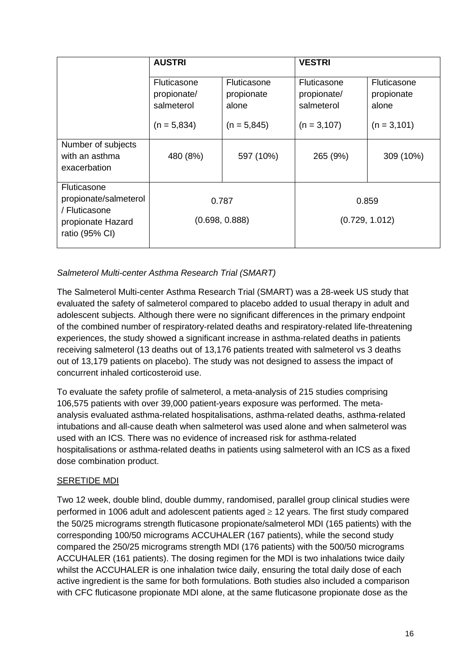|                                                                                              | <b>AUSTRI</b>                                   |                                    | <b>VESTRI</b>                            |                                    |
|----------------------------------------------------------------------------------------------|-------------------------------------------------|------------------------------------|------------------------------------------|------------------------------------|
|                                                                                              | <b>Fluticasone</b><br>propionate/<br>salmeterol | Fluticasone<br>propionate<br>alone | Fluticasone<br>propionate/<br>salmeterol | Fluticasone<br>propionate<br>alone |
|                                                                                              | $(n = 5,834)$                                   | $(n = 5,845)$                      | $(n = 3, 107)$                           | $(n = 3, 101)$                     |
| Number of subjects<br>with an asthma<br>exacerbation                                         | 480 (8%)                                        | 597 (10%)                          | 265 (9%)                                 | 309 (10%)                          |
| Fluticasone<br>propionate/salmeterol<br>/ Fluticasone<br>propionate Hazard<br>ratio (95% CI) | 0.787<br>(0.698, 0.888)                         |                                    |                                          | 0.859<br>(0.729, 1.012)            |

## *Salmeterol Multi-center Asthma Research Trial (SMART)*

The Salmeterol Multi-center Asthma Research Trial (SMART) was a 28-week US study that evaluated the safety of salmeterol compared to placebo added to usual therapy in adult and adolescent subjects. Although there were no significant differences in the primary endpoint of the combined number of respiratory-related deaths and respiratory-related life-threatening experiences, the study showed a significant increase in asthma-related deaths in patients receiving salmeterol (13 deaths out of 13,176 patients treated with salmeterol vs 3 deaths out of 13,179 patients on placebo). The study was not designed to assess the impact of concurrent inhaled corticosteroid use.

To evaluate the safety profile of salmeterol, a meta-analysis of 215 studies comprising 106,575 patients with over 39,000 patient-years exposure was performed. The metaanalysis evaluated asthma-related hospitalisations, asthma-related deaths, asthma-related intubations and all-cause death when salmeterol was used alone and when salmeterol was used with an ICS. There was no evidence of increased risk for asthma-related hospitalisations or asthma-related deaths in patients using salmeterol with an ICS as a fixed dose combination product.

### SERETIDE MDI

Two 12 week, double blind, double dummy, randomised, parallel group clinical studies were performed in 1006 adult and adolescent patients aged  $\geq$  12 years. The first study compared the 50/25 micrograms strength fluticasone propionate/salmeterol MDI (165 patients) with the corresponding 100/50 micrograms ACCUHALER (167 patients), while the second study compared the 250/25 micrograms strength MDI (176 patients) with the 500/50 micrograms ACCUHALER (161 patients). The dosing regimen for the MDI is two inhalations twice daily whilst the ACCUHALER is one inhalation twice daily, ensuring the total daily dose of each active ingredient is the same for both formulations. Both studies also included a comparison with CFC fluticasone propionate MDI alone, at the same fluticasone propionate dose as the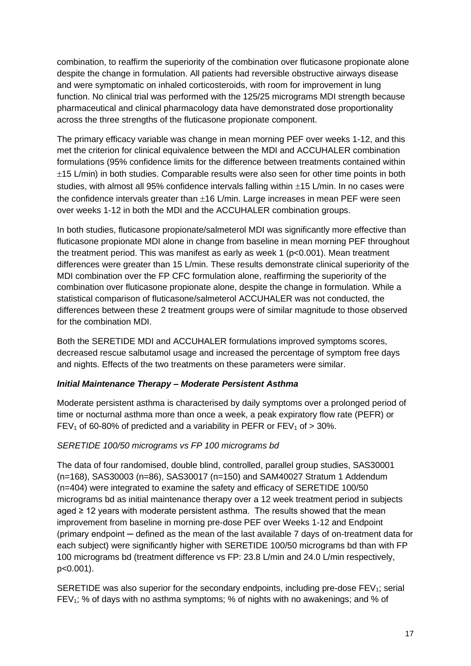combination, to reaffirm the superiority of the combination over fluticasone propionate alone despite the change in formulation. All patients had reversible obstructive airways disease and were symptomatic on inhaled corticosteroids, with room for improvement in lung function. No clinical trial was performed with the 125/25 micrograms MDI strength because pharmaceutical and clinical pharmacology data have demonstrated dose proportionality across the three strengths of the fluticasone propionate component.

The primary efficacy variable was change in mean morning PEF over weeks 1-12, and this met the criterion for clinical equivalence between the MDI and ACCUHALER combination formulations (95% confidence limits for the difference between treatments contained within  $\pm$ 15 L/min) in both studies. Comparable results were also seen for other time points in both studies, with almost all 95% confidence intervals falling within  $\pm$ 15 L/min. In no cases were the confidence intervals greater than  $\pm 16$  L/min. Large increases in mean PEF were seen over weeks 1-12 in both the MDI and the ACCUHALER combination groups.

In both studies, fluticasone propionate/salmeterol MDI was significantly more effective than fluticasone propionate MDI alone in change from baseline in mean morning PEF throughout the treatment period. This was manifest as early as week 1 ( $p<0.001$ ). Mean treatment differences were greater than 15 L/min. These results demonstrate clinical superiority of the MDI combination over the FP CFC formulation alone, reaffirming the superiority of the combination over fluticasone propionate alone, despite the change in formulation. While a statistical comparison of fluticasone/salmeterol ACCUHALER was not conducted, the differences between these 2 treatment groups were of similar magnitude to those observed for the combination MDI.

Both the SERETIDE MDI and ACCUHALER formulations improved symptoms scores, decreased rescue salbutamol usage and increased the percentage of symptom free days and nights. Effects of the two treatments on these parameters were similar.

### *Initial Maintenance Therapy – Moderate Persistent Asthma*

Moderate persistent asthma is characterised by daily symptoms over a prolonged period of time or nocturnal asthma more than once a week, a peak expiratory flow rate (PEFR) or FEV<sub>1</sub> of 60-80% of predicted and a variability in PEFR or FEV<sub>1</sub> of  $>$  30%.

### *SERETIDE 100/50 micrograms vs FP 100 micrograms bd*

The data of four randomised, double blind, controlled, parallel group studies, SAS30001 (n=168), SAS30003 (n=86), SAS30017 (n=150) and SAM40027 Stratum 1 Addendum (n=404) were integrated to examine the safety and efficacy of SERETIDE 100/50 micrograms bd as initial maintenance therapy over a 12 week treatment period in subjects aged ≥ 12 years with moderate persistent asthma. The results showed that the mean improvement from baseline in morning pre-dose PEF over Weeks 1-12 and Endpoint (primary endpoint ─ defined as the mean of the last available 7 days of on-treatment data for each subject) were significantly higher with SERETIDE 100/50 micrograms bd than with FP 100 micrograms bd (treatment difference vs FP: 23.8 L/min and 24.0 L/min respectively, p<0.001).

SERETIDE was also superior for the secondary endpoints, including pre-dose  $FEV<sub>1</sub>$ ; serial  $FEV<sub>1</sub>$ ; % of days with no asthma symptoms; % of nights with no awakenings; and % of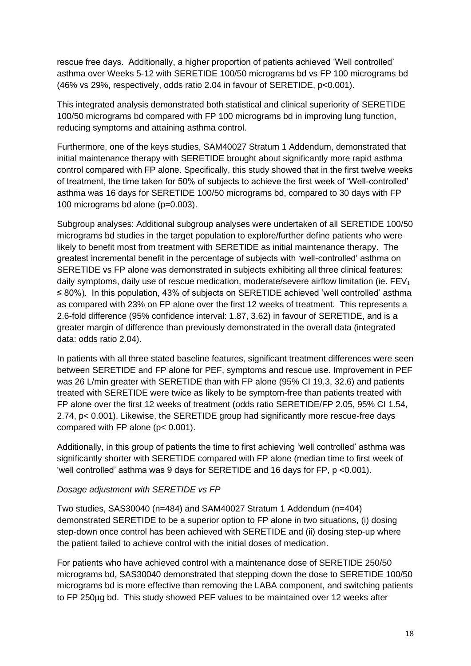rescue free days. Additionally, a higher proportion of patients achieved 'Well controlled' asthma over Weeks 5-12 with SERETIDE 100/50 micrograms bd vs FP 100 micrograms bd (46% vs 29%, respectively, odds ratio 2.04 in favour of SERETIDE, p<0.001).

This integrated analysis demonstrated both statistical and clinical superiority of SERETIDE 100/50 micrograms bd compared with FP 100 micrograms bd in improving lung function, reducing symptoms and attaining asthma control.

Furthermore, one of the keys studies, SAM40027 Stratum 1 Addendum, demonstrated that initial maintenance therapy with SERETIDE brought about significantly more rapid asthma control compared with FP alone. Specifically, this study showed that in the first twelve weeks of treatment, the time taken for 50% of subjects to achieve the first week of 'Well-controlled' asthma was 16 days for SERETIDE 100/50 micrograms bd, compared to 30 days with FP 100 micrograms bd alone (p=0.003).

Subgroup analyses: Additional subgroup analyses were undertaken of all SERETIDE 100/50 micrograms bd studies in the target population to explore/further define patients who were likely to benefit most from treatment with SERETIDE as initial maintenance therapy. The greatest incremental benefit in the percentage of subjects with 'well-controlled' asthma on SERETIDE vs FP alone was demonstrated in subjects exhibiting all three clinical features: daily symptoms, daily use of rescue medication, moderate/severe airflow limitation (ie.  $FEV<sub>1</sub>$ ≤ 80%). In this population, 43% of subjects on SERETIDE achieved 'well controlled' asthma as compared with 23% on FP alone over the first 12 weeks of treatment. This represents a 2.6-fold difference (95% confidence interval: 1.87, 3.62) in favour of SERETIDE, and is a greater margin of difference than previously demonstrated in the overall data (integrated data: odds ratio 2.04).

In patients with all three stated baseline features, significant treatment differences were seen between SERETIDE and FP alone for PEF, symptoms and rescue use. Improvement in PEF was 26 L/min greater with SERETIDE than with FP alone (95% CI 19.3, 32.6) and patients treated with SERETIDE were twice as likely to be symptom-free than patients treated with FP alone over the first 12 weeks of treatment (odds ratio SERETIDE/FP 2.05, 95% CI 1.54, 2.74, p< 0.001). Likewise, the SERETIDE group had significantly more rescue-free days compared with FP alone (p< 0.001).

Additionally, in this group of patients the time to first achieving 'well controlled' asthma was significantly shorter with SERETIDE compared with FP alone (median time to first week of 'well controlled' asthma was 9 days for SERETIDE and 16 days for FP, p <0.001).

#### *Dosage adjustment with SERETIDE vs FP*

Two studies, SAS30040 (n=484) and SAM40027 Stratum 1 Addendum (n=404) demonstrated SERETIDE to be a superior option to FP alone in two situations, (i) dosing step-down once control has been achieved with SERETIDE and (ii) dosing step-up where the patient failed to achieve control with the initial doses of medication.

For patients who have achieved control with a maintenance dose of SERETIDE 250/50 micrograms bd, SAS30040 demonstrated that stepping down the dose to SERETIDE 100/50 micrograms bd is more effective than removing the LABA component, and switching patients to FP 250µg bd. This study showed PEF values to be maintained over 12 weeks after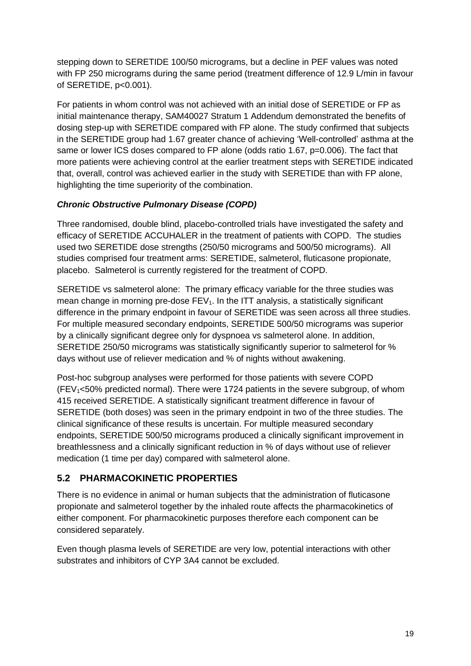stepping down to SERETIDE 100/50 micrograms, but a decline in PEF values was noted with FP 250 micrograms during the same period (treatment difference of 12.9 L/min in favour of SERETIDE, p<0.001).

For patients in whom control was not achieved with an initial dose of SERETIDE or FP as initial maintenance therapy, SAM40027 Stratum 1 Addendum demonstrated the benefits of dosing step-up with SERETIDE compared with FP alone. The study confirmed that subjects in the SERETIDE group had 1.67 greater chance of achieving 'Well-controlled' asthma at the same or lower ICS doses compared to FP alone (odds ratio 1.67, p=0.006). The fact that more patients were achieving control at the earlier treatment steps with SERETIDE indicated that, overall, control was achieved earlier in the study with SERETIDE than with FP alone, highlighting the time superiority of the combination.

## *Chronic Obstructive Pulmonary Disease (COPD)*

Three randomised, double blind, placebo-controlled trials have investigated the safety and efficacy of SERETIDE ACCUHALER in the treatment of patients with COPD. The studies used two SERETIDE dose strengths (250/50 micrograms and 500/50 micrograms). All studies comprised four treatment arms: SERETIDE, salmeterol, fluticasone propionate, placebo. Salmeterol is currently registered for the treatment of COPD.

SERETIDE vs salmeterol alone: The primary efficacy variable for the three studies was mean change in morning pre-dose  $FEV<sub>1</sub>$ . In the ITT analysis, a statistically significant difference in the primary endpoint in favour of SERETIDE was seen across all three studies. For multiple measured secondary endpoints, SERETIDE 500/50 micrograms was superior by a clinically significant degree only for dyspnoea vs salmeterol alone. In addition, SERETIDE 250/50 micrograms was statistically significantly superior to salmeterol for % days without use of reliever medication and % of nights without awakening.

Post-hoc subgroup analyses were performed for those patients with severe COPD  $(FEV<sub>1</sub><50%$  predicted normal). There were 1724 patients in the severe subgroup, of whom 415 received SERETIDE. A statistically significant treatment difference in favour of SERETIDE (both doses) was seen in the primary endpoint in two of the three studies. The clinical significance of these results is uncertain. For multiple measured secondary endpoints, SERETIDE 500/50 micrograms produced a clinically significant improvement in breathlessness and a clinically significant reduction in % of days without use of reliever medication (1 time per day) compared with salmeterol alone.

## **5.2 PHARMACOKINETIC PROPERTIES**

There is no evidence in animal or human subjects that the administration of fluticasone propionate and salmeterol together by the inhaled route affects the pharmacokinetics of either component. For pharmacokinetic purposes therefore each component can be considered separately.

Even though plasma levels of SERETIDE are very low, potential interactions with other substrates and inhibitors of CYP 3A4 cannot be excluded.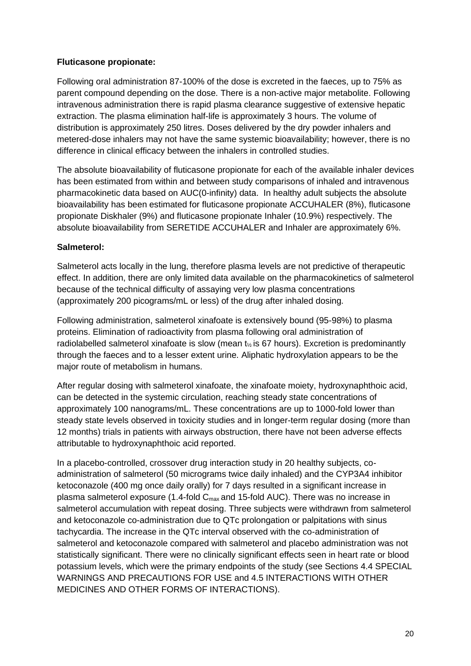### **Fluticasone propionate:**

Following oral administration 87-100% of the dose is excreted in the faeces, up to 75% as parent compound depending on the dose. There is a non-active major metabolite. Following intravenous administration there is rapid plasma clearance suggestive of extensive hepatic extraction. The plasma elimination half-life is approximately 3 hours. The volume of distribution is approximately 250 litres. Doses delivered by the dry powder inhalers and metered-dose inhalers may not have the same systemic bioavailability; however, there is no difference in clinical efficacy between the inhalers in controlled studies.

The absolute bioavailability of fluticasone propionate for each of the available inhaler devices has been estimated from within and between study comparisons of inhaled and intravenous pharmacokinetic data based on AUC(0-infinity) data. In healthy adult subjects the absolute bioavailability has been estimated for fluticasone propionate ACCUHALER (8%), fluticasone propionate Diskhaler (9%) and fluticasone propionate Inhaler (10.9%) respectively. The absolute bioavailability from SERETIDE ACCUHALER and Inhaler are approximately 6%.

### **Salmeterol:**

Salmeterol acts locally in the lung, therefore plasma levels are not predictive of therapeutic effect. In addition, there are only limited data available on the pharmacokinetics of salmeterol because of the technical difficulty of assaying very low plasma concentrations (approximately 200 picograms/mL or less) of the drug after inhaled dosing.

Following administration, salmeterol xinafoate is extensively bound (95-98%) to plasma proteins. Elimination of radioactivity from plasma following oral administration of radiolabelled salmeterol xinafoate is slow (mean  $t_{\%}$  is 67 hours). Excretion is predominantly through the faeces and to a lesser extent urine. Aliphatic hydroxylation appears to be the major route of metabolism in humans.

After regular dosing with salmeterol xinafoate, the xinafoate moiety, hydroxynaphthoic acid, can be detected in the systemic circulation, reaching steady state concentrations of approximately 100 nanograms/mL. These concentrations are up to 1000-fold lower than steady state levels observed in toxicity studies and in longer-term regular dosing (more than 12 months) trials in patients with airways obstruction, there have not been adverse effects attributable to hydroxynaphthoic acid reported.

In a placebo-controlled, crossover drug interaction study in 20 healthy subjects, coadministration of salmeterol (50 micrograms twice daily inhaled) and the CYP3A4 inhibitor ketoconazole (400 mg once daily orally) for 7 days resulted in a significant increase in plasma salmeterol exposure (1.4-fold  $C_{\text{max}}$  and 15-fold AUC). There was no increase in salmeterol accumulation with repeat dosing. Three subjects were withdrawn from salmeterol and ketoconazole co-administration due to QTc prolongation or palpitations with sinus tachycardia. The increase in the QTc interval observed with the co-administration of salmeterol and ketoconazole compared with salmeterol and placebo administration was not statistically significant. There were no clinically significant effects seen in heart rate or blood potassium levels, which were the primary endpoints of the study (see Sections 4.4 SPECIAL WARNINGS AND PRECAUTIONS FOR USE and 4.5 INTERACTIONS WITH OTHER MEDICINES AND OTHER FORMS OF INTERACTIONS).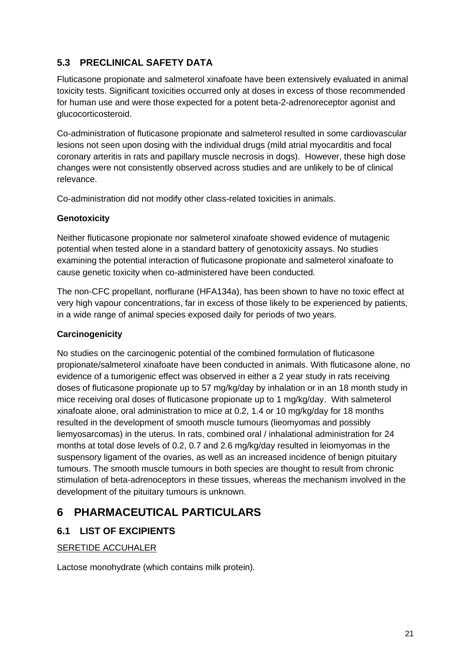# **5.3 PRECLINICAL SAFETY DATA**

Fluticasone propionate and salmeterol xinafoate have been extensively evaluated in animal toxicity tests. Significant toxicities occurred only at doses in excess of those recommended for human use and were those expected for a potent beta-2-adrenoreceptor agonist and glucocorticosteroid.

Co-administration of fluticasone propionate and salmeterol resulted in some cardiovascular lesions not seen upon dosing with the individual drugs (mild atrial myocarditis and focal coronary arteritis in rats and papillary muscle necrosis in dogs). However, these high dose changes were not consistently observed across studies and are unlikely to be of clinical relevance.

Co-administration did not modify other class-related toxicities in animals.

### **Genotoxicity**

Neither fluticasone propionate nor salmeterol xinafoate showed evidence of mutagenic potential when tested alone in a standard battery of genotoxicity assays. No studies examining the potential interaction of fluticasone propionate and salmeterol xinafoate to cause genetic toxicity when co-administered have been conducted.

The non-CFC propellant, norflurane (HFA134a), has been shown to have no toxic effect at very high vapour concentrations, far in excess of those likely to be experienced by patients, in a wide range of animal species exposed daily for periods of two years.

### **Carcinogenicity**

No studies on the carcinogenic potential of the combined formulation of fluticasone propionate/salmeterol xinafoate have been conducted in animals. With fluticasone alone, no evidence of a tumorigenic effect was observed in either a 2 year study in rats receiving doses of fluticasone propionate up to 57 mg/kg/day by inhalation or in an 18 month study in mice receiving oral doses of fluticasone propionate up to 1 mg/kg/day. With salmeterol xinafoate alone, oral administration to mice at 0.2, 1.4 or 10 mg/kg/day for 18 months resulted in the development of smooth muscle tumours (lieomyomas and possibly liemyosarcomas) in the uterus. In rats, combined oral / inhalational administration for 24 months at total dose levels of 0.2, 0.7 and 2.6 mg/kg/day resulted in leiomyomas in the suspensory ligament of the ovaries, as well as an increased incidence of benign pituitary tumours. The smooth muscle tumours in both species are thought to result from chronic stimulation of beta-adrenoceptors in these tissues, whereas the mechanism involved in the development of the pituitary tumours is unknown.

# **6 PHARMACEUTICAL PARTICULARS**

## **6.1 LIST OF EXCIPIENTS**

### SERETIDE ACCUHALER

Lactose monohydrate (which contains milk protein).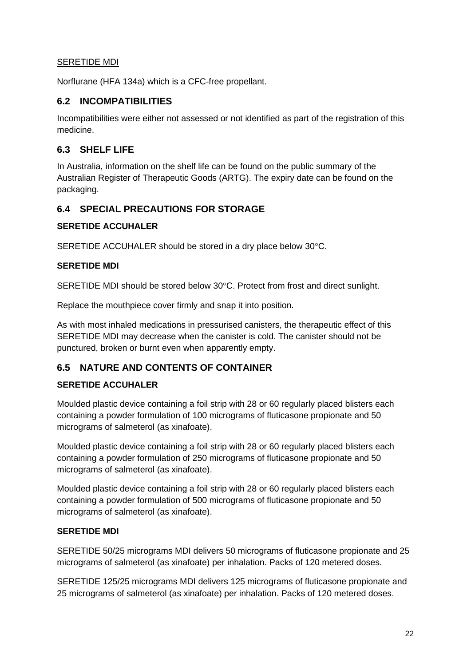### SERETIDE MDI

Norflurane (HFA 134a) which is a CFC-free propellant.

### **6.2 INCOMPATIBILITIES**

Incompatibilities were either not assessed or not identified as part of the registration of this medicine.

### **6.3 SHELF LIFE**

In Australia, information on the shelf life can be found on the public summary of the Australian Register of Therapeutic Goods (ARTG). The expiry date can be found on the packaging.

## **6.4 SPECIAL PRECAUTIONS FOR STORAGE**

### **SERETIDE ACCUHALER**

SERETIDE ACCUHALER should be stored in a dry place below 30°C.

### **SERETIDE MDI**

SERETIDE MDI should be stored below 30°C. Protect from frost and direct sunlight.

Replace the mouthpiece cover firmly and snap it into position.

As with most inhaled medications in pressurised canisters, the therapeutic effect of this SERETIDE MDI may decrease when the canister is cold. The canister should not be punctured, broken or burnt even when apparently empty.

## **6.5 NATURE AND CONTENTS OF CONTAINER**

### **SERETIDE ACCUHALER**

Moulded plastic device containing a foil strip with 28 or 60 regularly placed blisters each containing a powder formulation of 100 micrograms of fluticasone propionate and 50 micrograms of salmeterol (as xinafoate).

Moulded plastic device containing a foil strip with 28 or 60 regularly placed blisters each containing a powder formulation of 250 micrograms of fluticasone propionate and 50 micrograms of salmeterol (as xinafoate).

Moulded plastic device containing a foil strip with 28 or 60 regularly placed blisters each containing a powder formulation of 500 micrograms of fluticasone propionate and 50 micrograms of salmeterol (as xinafoate).

### **SERETIDE MDI**

SERETIDE 50/25 micrograms MDI delivers 50 micrograms of fluticasone propionate and 25 micrograms of salmeterol (as xinafoate) per inhalation. Packs of 120 metered doses.

SERETIDE 125/25 micrograms MDI delivers 125 micrograms of fluticasone propionate and 25 micrograms of salmeterol (as xinafoate) per inhalation. Packs of 120 metered doses.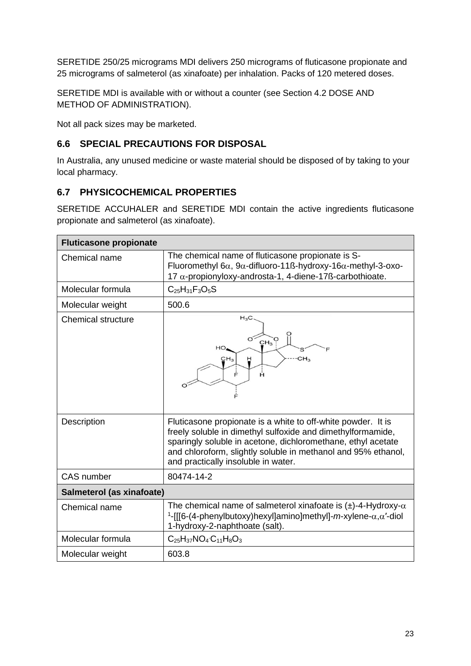SERETIDE 250/25 micrograms MDI delivers 250 micrograms of fluticasone propionate and 25 micrograms of salmeterol (as xinafoate) per inhalation. Packs of 120 metered doses.

SERETIDE MDI is available with or without a counter (see Section 4.2 DOSE AND METHOD OF ADMINISTRATION).

Not all pack sizes may be marketed.

# **6.6 SPECIAL PRECAUTIONS FOR DISPOSAL**

In Australia, any unused medicine or waste material should be disposed of by taking to your local pharmacy.

## **6.7 PHYSICOCHEMICAL PROPERTIES**

SERETIDE ACCUHALER and SERETIDE MDI contain the active ingredients fluticasone propionate and salmeterol (as xinafoate).

| <b>Fluticasone propionate</b> |                                                                                                                                                                                                                                                                                                     |  |
|-------------------------------|-----------------------------------------------------------------------------------------------------------------------------------------------------------------------------------------------------------------------------------------------------------------------------------------------------|--|
| Chemical name                 | The chemical name of fluticasone propionate is S-<br>Fluoromethyl 6 $\alpha$ , 9 $\alpha$ -difluoro-11ß-hydroxy-16 $\alpha$ -methyl-3-oxo-<br>17 $\alpha$ -propionyloxy-androsta-1, 4-diene-17ß-carbothioate.                                                                                       |  |
| Molecular formula             | $C_{25}H_{31}F_{3}O_{5}S$                                                                                                                                                                                                                                                                           |  |
| Molecular weight              | 500.6                                                                                                                                                                                                                                                                                               |  |
| Chemical structure            | $H_3C$<br>$CH3$ <sup>O</sup><br>HО<br>CH <sub>3</sub><br>CH <sub>3</sub><br>Ĥ<br>Ė<br>Ĥ                                                                                                                                                                                                             |  |
| Description                   | Fluticasone propionate is a white to off-white powder. It is<br>freely soluble in dimethyl sulfoxide and dimethylformamide,<br>sparingly soluble in acetone, dichloromethane, ethyl acetate<br>and chloroform, slightly soluble in methanol and 95% ethanol,<br>and practically insoluble in water. |  |
| <b>CAS</b> number             | 80474-14-2                                                                                                                                                                                                                                                                                          |  |
| Salmeterol (as xinafoate)     |                                                                                                                                                                                                                                                                                                     |  |
| Chemical name                 | The chemical name of salmeterol xinafoate is $(\pm)$ -4-Hydroxy- $\alpha$<br><sup>1</sup> -[[[6-(4-phenylbutoxy)hexyl]amino]methyl]- <i>m</i> -xylene- $\alpha, \alpha'$ -diol<br>1-hydroxy-2-naphthoate (salt).                                                                                    |  |
| Molecular formula             | $C_{25}H_{37}NO_4 C_{11}H_8O_3$                                                                                                                                                                                                                                                                     |  |
| Molecular weight              | 603.8                                                                                                                                                                                                                                                                                               |  |